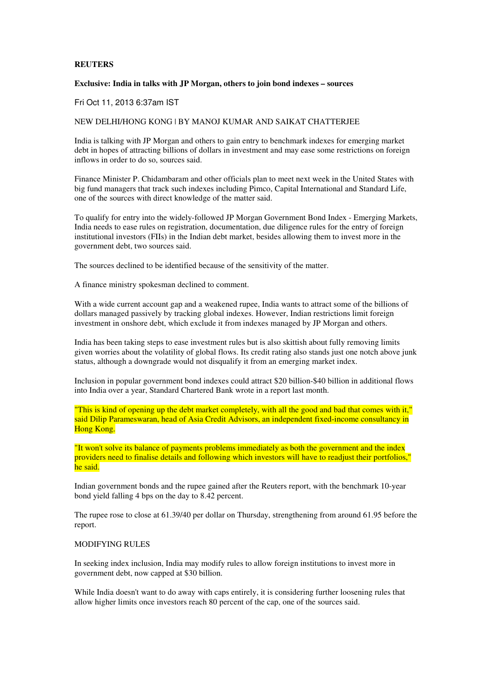# **REUTERS**

#### **Exclusive: India in talks with JP Morgan, others to join bond indexes – sources**

## Fri Oct 11, 2013 6:37am IST

## NEW DELHI/HONG KONG | BY MANOJ KUMAR AND SAIKAT CHATTERJEE

India is talking with JP Morgan and others to gain entry to benchmark indexes for emerging market debt in hopes of attracting billions of dollars in investment and may ease some restrictions on foreign inflows in order to do so, sources said.

Finance Minister P. Chidambaram and other officials plan to meet next week in the United States with big fund managers that track such indexes including Pimco, Capital International and Standard Life, one of the sources with direct knowledge of the matter said.

To qualify for entry into the widely-followed JP Morgan Government Bond Index - Emerging Markets, India needs to ease rules on registration, documentation, due diligence rules for the entry of foreign institutional investors (FIIs) in the Indian debt market, besides allowing them to invest more in the government debt, two sources said.

The sources declined to be identified because of the sensitivity of the matter.

A finance ministry spokesman declined to comment.

With a wide current account gap and a weakened rupee, India wants to attract some of the billions of dollars managed passively by tracking global indexes. However, Indian restrictions limit foreign investment in onshore debt, which exclude it from indexes managed by JP Morgan and others.

India has been taking steps to ease investment rules but is also skittish about fully removing limits given worries about the volatility of global flows. Its credit rating also stands just one notch above junk status, although a downgrade would not disqualify it from an emerging market index.

Inclusion in popular government bond indexes could attract \$20 billion-\$40 billion in additional flows into India over a year, Standard Chartered Bank wrote in a report last month.

"This is kind of opening up the debt market completely, with all the good and bad that comes with it," said Dilip Parameswaran, head of Asia Credit Advisors, an independent fixed-income consultancy in Hong Kong.

"It won't solve its balance of payments problems immediately as both the government and the index providers need to finalise details and following which investors will have to readjust their portfolios," he said.

Indian government bonds and the rupee gained after the Reuters report, with the benchmark 10-year bond yield falling 4 bps on the day to 8.42 percent.

The rupee rose to close at 61.39/40 per dollar on Thursday, strengthening from around 61.95 before the report.

# MODIFYING RULES

In seeking index inclusion, India may modify rules to allow foreign institutions to invest more in government debt, now capped at \$30 billion.

While India doesn't want to do away with caps entirely, it is considering further loosening rules that allow higher limits once investors reach 80 percent of the cap, one of the sources said.